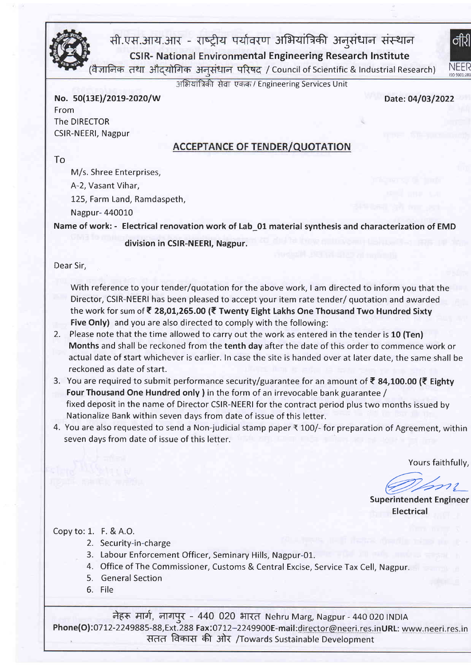

सी.एस.आय.आर - राष्ट्रीय पर्यावरण अभियांत्रिकी अनुसंधान संस्थान<br>CSIR- National Environmental Engineering Research Institute

(वैज्ञानिक तथा औद्योगिक अनुसंधान परिषद / Council of Scientific & Industrial Research)  $\mathrm{NEER}\limits_{\text{\tiny{ISO\longrightarrow{200}}}}$ 

अभियांत्रिकी सेवा एकक / Engineering Services Unit

Date: 04/03/2022

ISO 9001:200

नीरी

No. 50(13E)/2019-2020/W

From The DIRECTOR CSIR-NEERl, Nagpur

# **ACCEPTANCE OF TENDER/QUOTATION**

To

M/s. Shree Enterprises,

A-2, Vasant Vihar,

I25, Farm Land, Ramdaspeth,

Nagpur- 440010

Name of work: - Electrical renovation work of Lab\_01 material synthesis and characterization of EMD

division in CSIR-NEERl, Nagpur.

Dear Sir,

With reference to your tender/quotation for the above work, I am directed to inform you that the Director, CSIR-NEERI has been pleased to accept your item rate tender/ quotation and awarded the work for sum of ₹ 28,01,265.00 (₹ Twenty Eight Lakhs One Thousand Two Hundred Sixty Five Only) and you are also directed to comply with the following:

- 2. Please note that the time allowed to carry out the work as entered in the tender is 10 (Ten) Months and shall be reckoned from the tenth day after the date of this order to commence work or actual date of start whichever is earlier. In case the site is handed over at later date, the same shall be reckoned as date of start.
- 3. You are required to submit performance security/guarantee for an amount of ₹ 84,100.00 (₹ Ei<mark>ghty</mark> Four Thousand One Hundred only ) in the form of an irrevocable bank guarantee / fixed deposit in the name of Director CSIR-NEERI for the contract period plus two months issued by Nationalize Bank within seven days from date of issue of this letter.
- 4. You are also requested to send a Non-judicial stamp paper ₹ 100/- for preparation of Agreement, withir seven days from date of issue of this letter.

Yours faithfully,

 $\angle$ 

Superintendent Engineer Electrical

### Copy to: L. F. & A.O.

- 2. Security-in-charge
- 3. Labour Enforcement Officer, Seminary Hills, Nagpur-0L.
- 4. Office of The Commissioner, Customs & Central Excise, Service Tax Cell, Nagpur.
- 5. General Section
- 6. File

नेहरू मार्ग, नागपुर - 440 020 भारत Nehru Marg, Nagpur - 440 020 INDIA Phone(O):0712-2249885-88,Ext.288 Fax:0712-2249900E-mail:director@neeri.res.inURL: www.neeri.res.in सतत विकास की ओर /Towards Sustainable Development